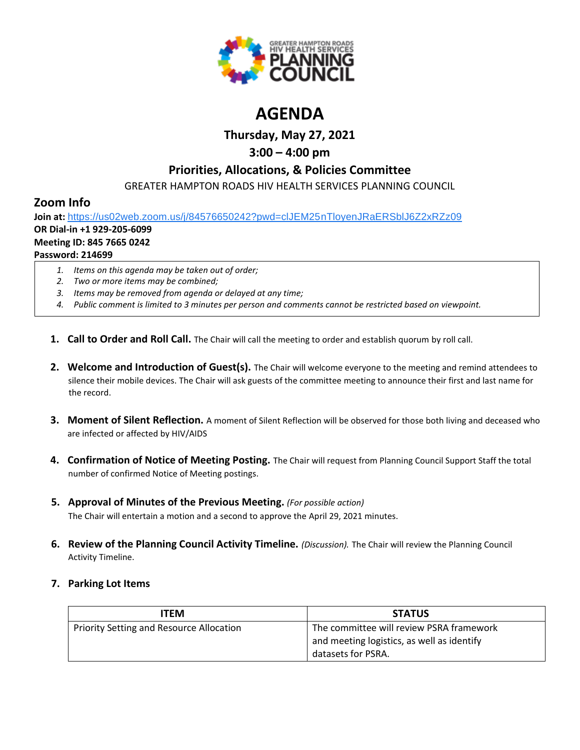

# **AGENDA**

**Thursday, May 27, 2021**

# **3:00 – 4:00 pm**

### **Priorities, Allocations, & Policies Committee**

GREATER HAMPTON ROADS HIV HEALTH SERVICES PLANNING COUNCIL

### **Zoom Info**

**Join at:** [https://us02web.zoom.us/j/84576650242?pwd=clJEM25nTloyenJRaERSblJ6Z2xRZz09](https://www.google.com/url?q=https://us02web.zoom.us/j/84576650242?pwd%3DclJEM25nTloyenJRaERSblJ6Z2xRZz09&sa=D&source=calendar&ust=1616595038982000&usg=AOvVaw3sK6cNtpF8kGuryyzK0Ew9)

# **OR Dial-in +1 929-205-6099**

#### **Meeting ID: 845 7665 0242**

#### **Password: 214699**

- *1. Items on this agenda may be taken out of order;*
- *2. Two or more items may be combined;*
- *3. Items may be removed from agenda or delayed at any time;*
- *4. Public comment is limited to 3 minutes per person and comments cannot be restricted based on viewpoint.*
- **1. Call to Order and Roll Call.** The Chair will call the meeting to order and establish quorum by roll call.
- **2. Welcome and Introduction of Guest(s).** The Chair will welcome everyone to the meeting and remind attendees to silence their mobile devices. The Chair will ask guests of the committee meeting to announce their first and last name for the record.
- **3. Moment of Silent Reflection.** A moment of Silent Reflection will be observed for those both living and deceased who are infected or affected by HIV/AIDS
- **4. Confirmation of Notice of Meeting Posting.** The Chair will request from Planning Council Support Staff the total number of confirmed Notice of Meeting postings.
- **5. Approval of Minutes of the Previous Meeting.** *(For possible action)* The Chair will entertain a motion and a second to approve the April 29, 2021 minutes.
- **6. Review of the Planning Council Activity Timeline.** *(Discussion).* The Chair will review the Planning Council Activity Timeline.

### **7. Parking Lot Items**

| ITEM                                     | <b>STATUS</b>                                                                                                |
|------------------------------------------|--------------------------------------------------------------------------------------------------------------|
| Priority Setting and Resource Allocation | The committee will review PSRA framework<br>and meeting logistics, as well as identify<br>datasets for PSRA. |